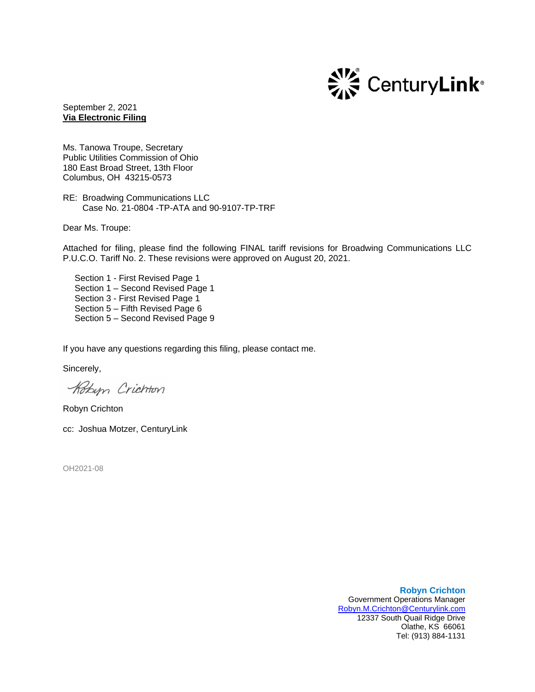

September 2, 2021 **Via Electronic Filing**

Ms. Tanowa Troupe, Secretary Public Utilities Commission of Ohio 180 East Broad Street, 13th Floor Columbus, OH 43215-0573

RE: Broadwing Communications LLC Case No. 21-0804 -TP-ATA and 90-9107-TP-TRF

Dear Ms. Troupe:

Attached for filing, please find the following FINAL tariff revisions for Broadwing Communications LLC P.U.C.O. Tariff No. 2. These revisions were approved on August 20, 2021.

Section 1 - First Revised Page 1 Section 1 – Second Revised Page 1 Section 3 - First Revised Page 1 Section 5 – Fifth Revised Page 6 Section 5 – Second Revised Page 9

If you have any questions regarding this filing, please contact me.

Sincerely,

Kobyn Crichton

Robyn Crichton

cc: Joshua Motzer, CenturyLink

OH2021-08

**Robyn Crichton** Government Operations Manager [Robyn.M.Crichton@Centurylink.com](mailto:Robyn.M.Crichton@Centurylink.com) 12337 South Quail Ridge Drive Olathe, KS 66061 Tel: (913) 884-1131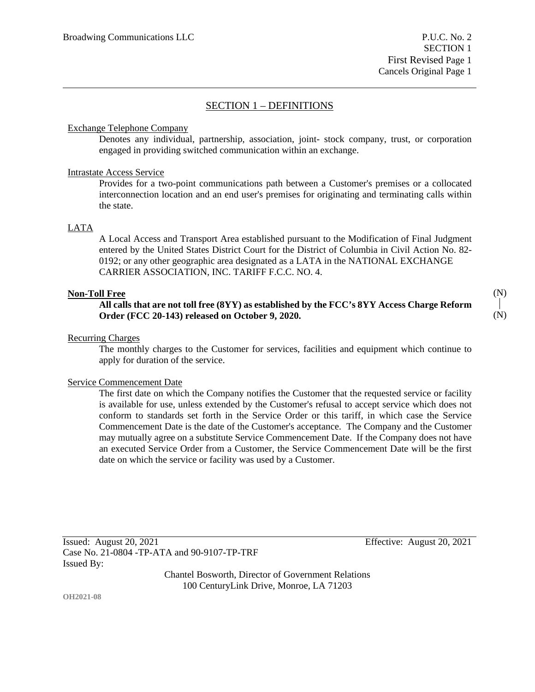(N)

(N)

## SECTION 1 – DEFINITIONS

## Exchange Telephone Company

Denotes any individual, partnership, association, joint- stock company, trust, or corporation engaged in providing switched communication within an exchange.

### Intrastate Access Service

Provides for a two-point communications path between a Customer's premises or a collocated interconnection location and an end user's premises for originating and terminating calls within the state.

## LATA

A Local Access and Transport Area established pursuant to the Modification of Final Judgment entered by the United States District Court for the District of Columbia in Civil Action No. 82- 0192; or any other geographic area designated as a LATA in the NATIONAL EXCHANGE CARRIER ASSOCIATION, INC. TARIFF F.C.C. NO. 4.

### **Non-Toll Free**

## **All calls that are not toll free (8YY) as established by the FCC's 8YY Access Charge Reform Order (FCC 20-143) released on October 9, 2020.**

## Recurring Charges

The monthly charges to the Customer for services, facilities and equipment which continue to apply for duration of the service.

#### Service Commencement Date

The first date on which the Company notifies the Customer that the requested service or facility is available for use, unless extended by the Customer's refusal to accept service which does not conform to standards set forth in the Service Order or this tariff, in which case the Service Commencement Date is the date of the Customer's acceptance. The Company and the Customer may mutually agree on a substitute Service Commencement Date. If the Company does not have an executed Service Order from a Customer, the Service Commencement Date will be the first date on which the service or facility was used by a Customer.

Issued: August 20, 2021 Effective: August 20, 2021 Case No. 21-0804 -TP-ATA and 90-9107-TP-TRF Issued By:

Chantel Bosworth, Director of Government Relations 100 CenturyLink Drive, Monroe, LA 71203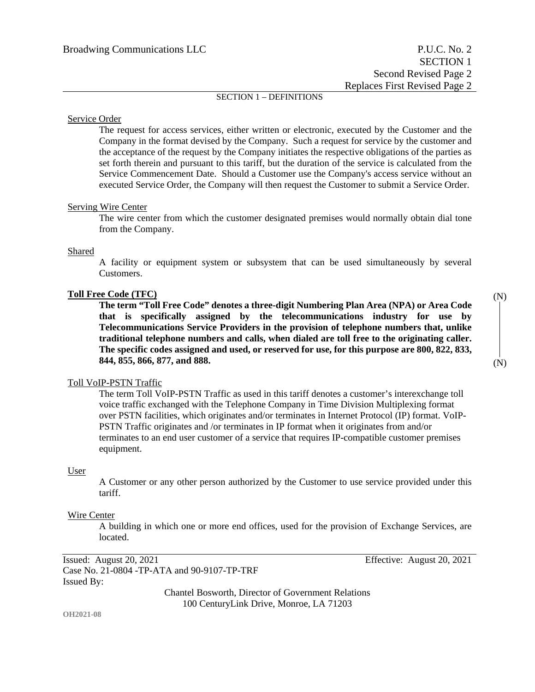## SECTION 1 – DEFINITIONS

#### Service Order

The request for access services, either written or electronic, executed by the Customer and the Company in the format devised by the Company. Such a request for service by the customer and the acceptance of the request by the Company initiates the respective obligations of the parties as set forth therein and pursuant to this tariff, but the duration of the service is calculated from the Service Commencement Date. Should a Customer use the Company's access service without an executed Service Order, the Company will then request the Customer to submit a Service Order.

#### Serving Wire Center

The wire center from which the customer designated premises would normally obtain dial tone from the Company.

#### Shared

A facility or equipment system or subsystem that can be used simultaneously by several Customers.

#### **Toll Free Code (TFC)**

**The term "Toll Free Code" denotes a three-digit Numbering Plan Area (NPA) or Area Code that is specifically assigned by the telecommunications industry for use by Telecommunications Service Providers in the provision of telephone numbers that, unlike traditional telephone numbers and calls, when dialed are toll free to the originating caller. The specific codes assigned and used, or reserved for use, for this purpose are 800, 822, 833, 844, 855, 866, 877, and 888.**

#### Toll VoIP-PSTN Traffic

The term Toll VoIP-PSTN Traffic as used in this tariff denotes a customer's interexchange toll voice traffic exchanged with the Telephone Company in Time Division Multiplexing format over PSTN facilities, which originates and/or terminates in Internet Protocol (IP) format. VoIP-PSTN Traffic originates and /or terminates in IP format when it originates from and/or terminates to an end user customer of a service that requires IP-compatible customer premises equipment.

#### User

A Customer or any other person authorized by the Customer to use service provided under this tariff.

#### Wire Center

A building in which one or more end offices, used for the provision of Exchange Services, are located.

Issued: August 20, 2021 Effective: August 20, 2021 Case No. 21-0804 -TP-ATA and 90-9107-TP-TRF Issued By:

Chantel Bosworth, Director of Government Relations 100 CenturyLink Drive, Monroe, LA 71203

**OH2021-08**

(N) (N)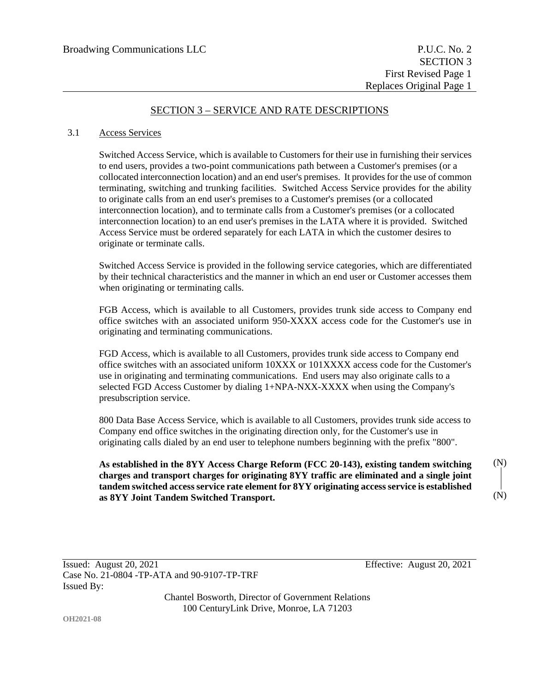## SECTION 3 – SERVICE AND RATE DESCRIPTIONS

#### 3.1 Access Services

Switched Access Service, which is available to Customers for their use in furnishing their services to end users, provides a two-point communications path between a Customer's premises (or a collocated interconnection location) and an end user's premises. It provides for the use of common terminating, switching and trunking facilities. Switched Access Service provides for the ability to originate calls from an end user's premises to a Customer's premises (or a collocated interconnection location), and to terminate calls from a Customer's premises (or a collocated interconnection location) to an end user's premises in the LATA where it is provided. Switched Access Service must be ordered separately for each LATA in which the customer desires to originate or terminate calls.

Switched Access Service is provided in the following service categories, which are differentiated by their technical characteristics and the manner in which an end user or Customer accesses them when originating or terminating calls.

FGB Access, which is available to all Customers, provides trunk side access to Company end office switches with an associated uniform 950-XXXX access code for the Customer's use in originating and terminating communications.

FGD Access, which is available to all Customers, provides trunk side access to Company end office switches with an associated uniform 10XXX or 101XXXX access code for the Customer's use in originating and terminating communications. End users may also originate calls to a selected FGD Access Customer by dialing 1+NPA-NXX-XXXX when using the Company's presubscription service.

800 Data Base Access Service, which is available to all Customers, provides trunk side access to Company end office switches in the originating direction only, for the Customer's use in originating calls dialed by an end user to telephone numbers beginning with the prefix "800".

**As established in the 8YY Access Charge Reform (FCC 20-143), existing tandem switching charges and transport charges for originating 8YY traffic are eliminated and a single joint tandem switched access service rate element for 8YY originating access service is established as 8YY Joint Tandem Switched Transport.** (N) (N)

Chantel Bosworth, Director of Government Relations 100 CenturyLink Drive, Monroe, LA 71203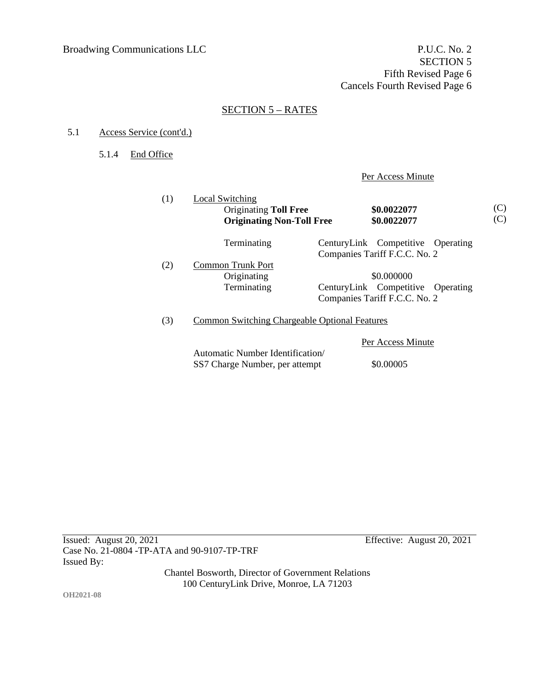## SECTION 5 – RATES

### 5.1 Access Service (cont'd.)

5.1.4 End Office

Per Access Minute

| (1) | Local Switching<br><b>Originating Toll Free</b><br><b>Originating Non-Toll Free</b> | \$0.0022077<br>\$0.0022077        |  |  |
|-----|-------------------------------------------------------------------------------------|-----------------------------------|--|--|
|     | Terminating                                                                         | CenturyLink Competitive Operating |  |  |
|     |                                                                                     | Companies Tariff F.C.C. No. 2     |  |  |
| (2) | Common Trunk Port                                                                   |                                   |  |  |
|     | Originating                                                                         | \$0.000000                        |  |  |
|     | Terminating                                                                         | CenturyLink Competitive Operating |  |  |
|     |                                                                                     | Companies Tariff F.C.C. No. 2     |  |  |
| (3) | Common Switching Chargeable Optional Features                                       |                                   |  |  |
|     | Per Access Minute                                                                   |                                   |  |  |

Issued: August 20, 2021 Effective: August 20, 2021 Case No. 21-0804 -TP-ATA and 90-9107-TP-TRF Issued By:

Chantel Bosworth, Director of Government Relations 100 CenturyLink Drive, Monroe, LA 71203

Automatic Number Identification/

SS7 Charge Number, per attempt \$0.00005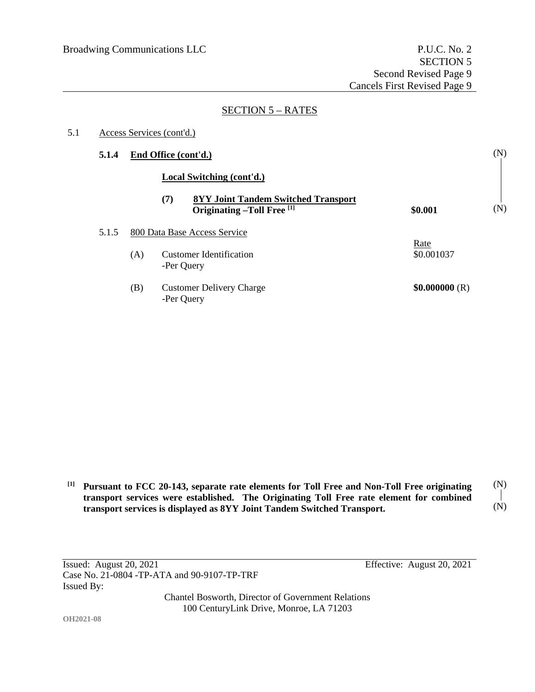## SECTION 5 – RATES

| 5.1 | Access Services (cont'd.) |                      |                                                                                 |                    |     |
|-----|---------------------------|----------------------|---------------------------------------------------------------------------------|--------------------|-----|
|     | 5.1.4                     | End Office (cont'd.) |                                                                                 |                    | (N) |
|     |                           |                      | Local Switching (cont'd.)                                                       |                    |     |
|     |                           |                      | (7)<br><b>8YY Joint Tandem Switched Transport</b><br>Originating -Toll Free [1] | \$0.001            | (N) |
|     | 5.1.5                     |                      | 800 Data Base Access Service                                                    |                    |     |
|     |                           | (A)                  | <b>Customer Identification</b><br>-Per Query                                    | Rate<br>\$0.001037 |     |
|     |                           | (B)                  | <b>Customer Delivery Charge</b><br>-Per Query                                   | \$0.000000(R)      |     |

**[1] Pursuant to FCC 20-143, separate rate elements for Toll Free and Non-Toll Free originating transport services were established. The Originating Toll Free rate element for combined transport services is displayed as 8YY Joint Tandem Switched Transport.** (N) (N)

Issued: August 20, 2021 Effective: August 20, 2021 Case No. 21-0804 -TP-ATA and 90-9107-TP-TRF Issued By:

Chantel Bosworth, Director of Government Relations 100 CenturyLink Drive, Monroe, LA 71203